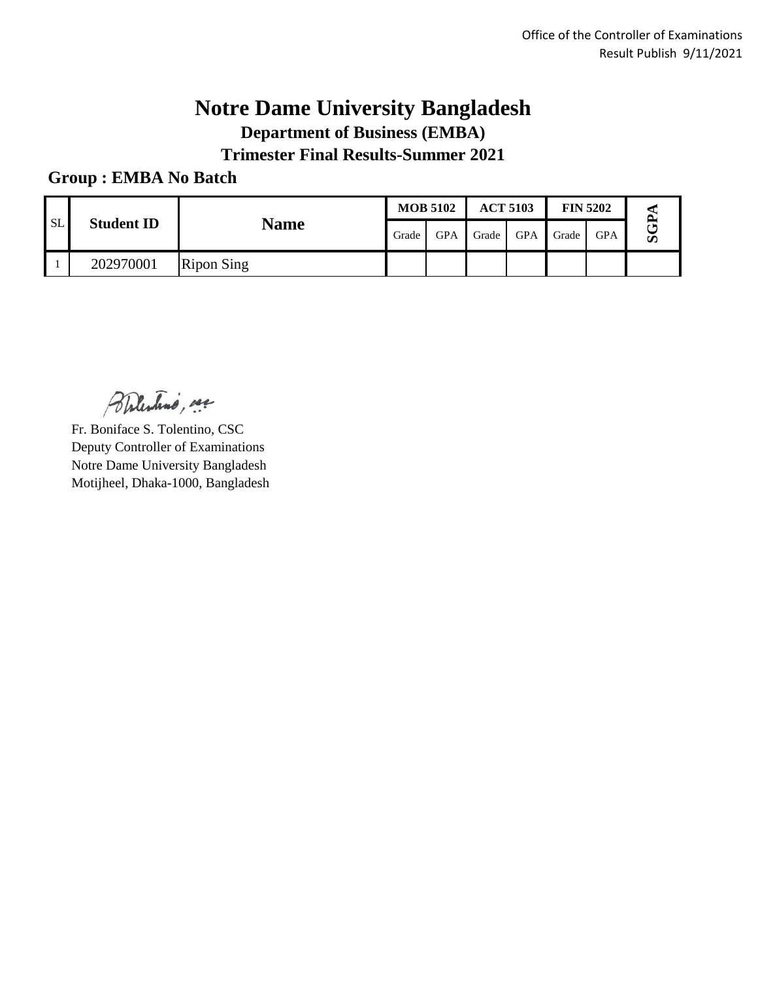### **Notre Dame University Bangladesh Department of Business (EMBA) Trimester Final Results-Summer 2021**

#### **Group : EMBA No Batch**

| <b>SL</b> |                   |                   |       | <b>MOB 5102</b> | <b>ACT 5103</b> |            | <b>FIN 5202</b> |            |           |  |
|-----------|-------------------|-------------------|-------|-----------------|-----------------|------------|-----------------|------------|-----------|--|
|           | <b>Student ID</b> | <b>Name</b>       | Grade | <b>GPA</b>      | Grade           | <b>GPA</b> | Grade           | <b>GPA</b> | $\bar{a}$ |  |
|           | 202970001         | <b>Ripon Sing</b> |       |                 |                 |            |                 |            |           |  |

Balestino, see

Fr. Boniface S. Tolentino, CSC Deputy Controller of Examinations Notre Dame University Bangladesh Motijheel, Dhaka-1000, Bangladesh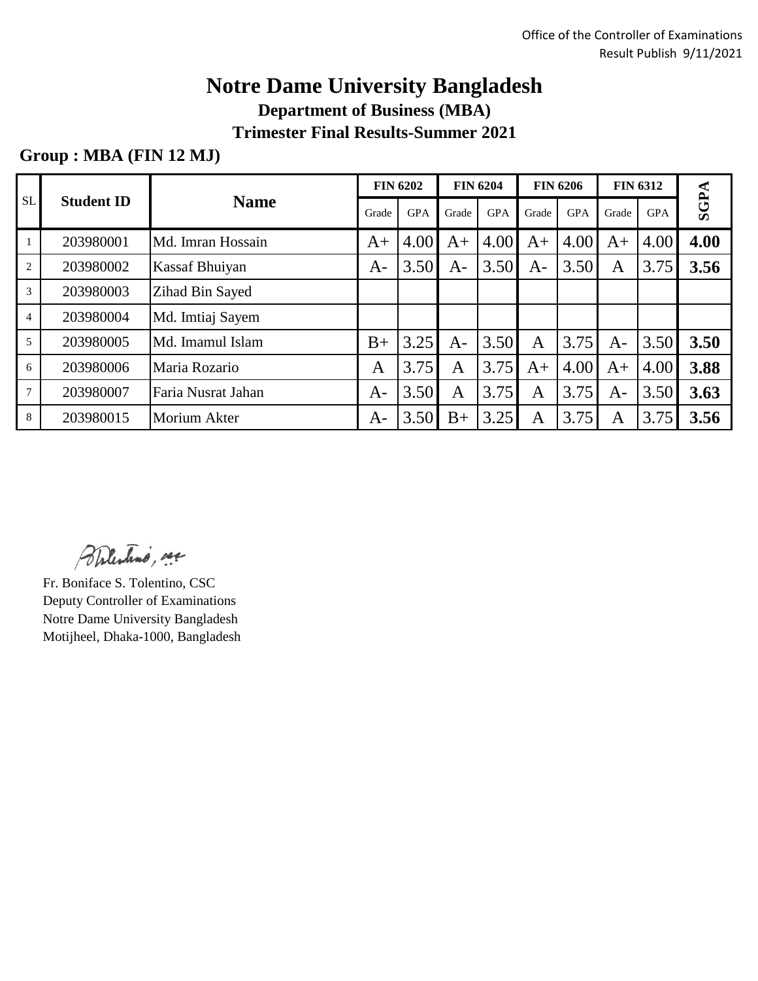# **Notre Dame University Bangladesh**

**Department of Business (MBA)**

**Trimester Final Results-Summer 2021**

### **Group : MBA (FIN 12 MJ)**

| SL             | <b>Student ID</b> | <b>Name</b>        | <b>FIN 6202</b> |            | <b>FIN 6204</b> |            | <b>FIN 6206</b> |            | <b>FIN 6312</b> |            |             |
|----------------|-------------------|--------------------|-----------------|------------|-----------------|------------|-----------------|------------|-----------------|------------|-------------|
|                |                   |                    | Grade           | <b>GPA</b> | Grade           | <b>GPA</b> | Grade           | <b>GPA</b> | Grade           | <b>GPA</b> | <b>SGPA</b> |
|                | 203980001         | Md. Imran Hossain  | $A+$            | 4.00       | A+              | 4.00       | $A+$            | 4.00       | $A+$            | 4.00       | 4.00        |
| $\overline{2}$ | 203980002         | Kassaf Bhuiyan     | $A-$            | 3.50       | $A-$            | 3.50       | $A-$            | 3.50       | $\mathbf{A}$    | 3.75       | 3.56        |
| 3              | 203980003         | Zihad Bin Sayed    |                 |            |                 |            |                 |            |                 |            |             |
| $\overline{4}$ | 203980004         | Md. Imtiaj Sayem   |                 |            |                 |            |                 |            |                 |            |             |
| 5              | 203980005         | Md. Imamul Islam   | $B+$            | 3.25       | $A-$            | 3.50       | A               | 3.75       | $A-$            | 3.50       | 3.50        |
| 6              | 203980006         | Maria Rozario      | A               | 3.75       | A               | 3.75       | A+              | 4.00       | $A+$            | 4.00       | 3.88        |
| $\overline{7}$ | 203980007         | Faria Nusrat Jahan | $A-$            | 3.50       | $\overline{A}$  | 3.75       | A               | 3.75       | $A-$            | 3.50       | 3.63        |
| 8              | 203980015         | Morium Akter       | A-              | 3.50       | $B+$            | 3.25       | A               | 3.75       | A               | 3.75       | 3.56        |

Bhlestino, me

Fr. Boniface S. Tolentino, CSC Deputy Controller of Examinations Notre Dame University Bangladesh Motijheel, Dhaka-1000, Bangladesh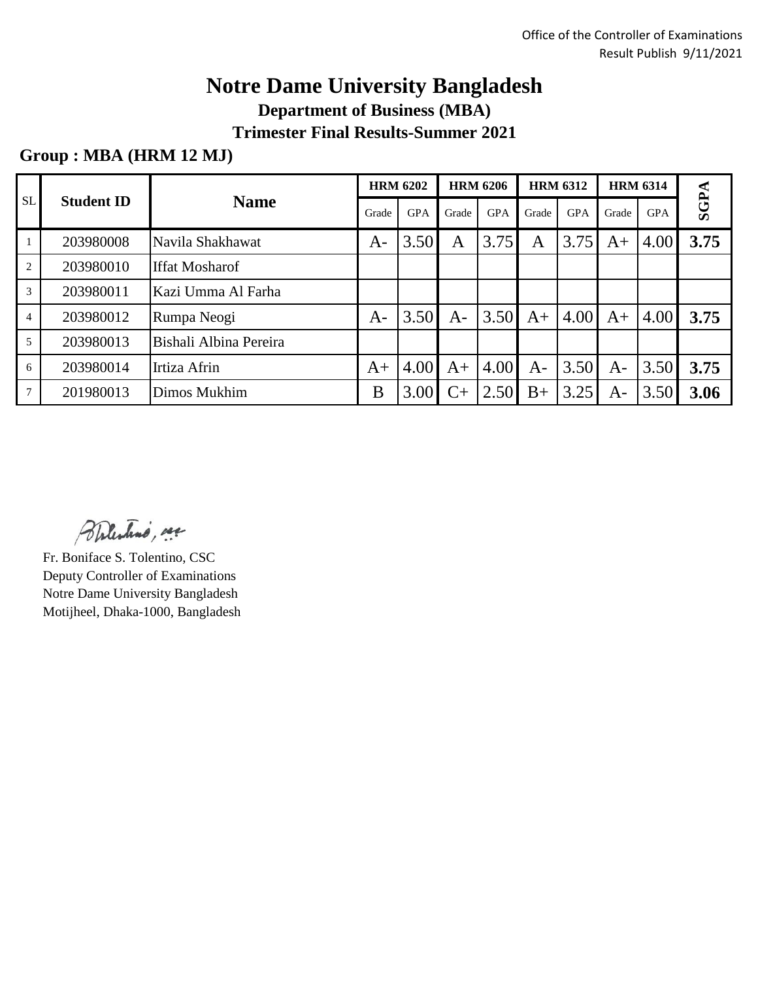# **Notre Dame University Bangladesh**

**Department of Business (MBA)**

**Trimester Final Results-Summer 2021**

### **Group : MBA (HRM 12 MJ)**

| <b>SL</b>      | <b>Name</b><br><b>Student ID</b> | <b>HRM 6202</b>        |       | <b>HRM 6206</b> |       | <b>HRM 6312</b> |       | <b>HRM 6314</b> |       |            |             |
|----------------|----------------------------------|------------------------|-------|-----------------|-------|-----------------|-------|-----------------|-------|------------|-------------|
|                |                                  |                        | Grade | <b>GPA</b>      | Grade | <b>GPA</b>      | Grade | <b>GPA</b>      | Grade | <b>GPA</b> | <b>SGPA</b> |
|                | 203980008                        | Navila Shakhawat       | $A-$  | 3.50            | Α     | 3.75            | A     | 3.75            | $A+$  | 4.00       | 3.75        |
| $\overline{2}$ | 203980010                        | <b>Iffat Mosharof</b>  |       |                 |       |                 |       |                 |       |            |             |
| 3              | 203980011                        | Kazi Umma Al Farha     |       |                 |       |                 |       |                 |       |            |             |
| $\overline{4}$ | 203980012                        | Rumpa Neogi            | A-    | 3.50            | $A-$  | 3.50            | $A+$  | 4.00            | $A+$  | 4.00       | 3.75        |
| 5              | 203980013                        | Bishali Albina Pereira |       |                 |       |                 |       |                 |       |            |             |
| 6              | 203980014                        | Irtiza Afrin           | $A+$  | 4.00            | $A+$  | 4.00            | $A-$  | 3.50            | $A-$  | 3.50       | 3.75        |
|                | 201980013                        | Dimos Mukhim           | B     | 3.00            | $C+$  | 2.50            | $B+$  | 3.25            | A-    | 3.50       | 3.06        |

Balestino, see

Fr. Boniface S. Tolentino, CSC Deputy Controller of Examinations Notre Dame University Bangladesh Motijheel, Dhaka-1000, Bangladesh